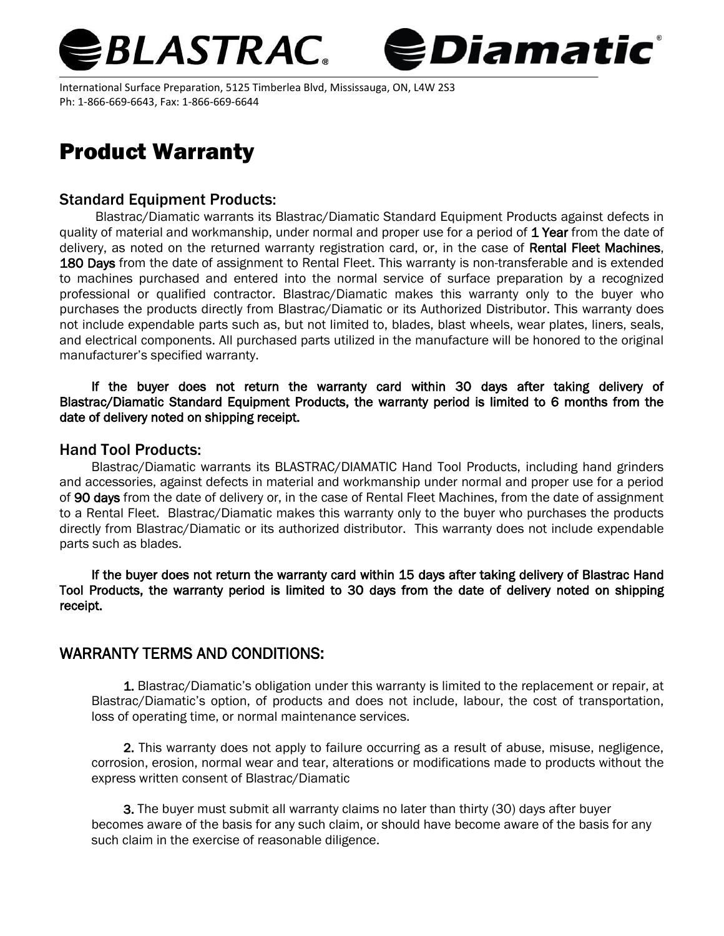



International Surface Preparation, 5125 Timberlea Blvd, Mississauga, ON, L4W 2S3 Ph: 1-866-669-6643, Fax: 1-866-669-6644

## Product Warranty

## Standard Equipment Products:

Blastrac/Diamatic warrants its Blastrac/Diamatic Standard Equipment Products against defects in quality of material and workmanship, under normal and proper use for a period of 1 Year from the date of delivery, as noted on the returned warranty registration card, or, in the case of Rental Fleet Machines, 180 Days from the date of assignment to Rental Fleet. This warranty is non-transferable and is extended to machines purchased and entered into the normal service of surface preparation by a recognized professional or qualified contractor. Blastrac/Diamatic makes this warranty only to the buyer who purchases the products directly from Blastrac/Diamatic or its Authorized Distributor. This warranty does not include expendable parts such as, but not limited to, blades, blast wheels, wear plates, liners, seals, and electrical components. All purchased parts utilized in the manufacture will be honored to the original manufacturer's specified warranty.

If the buyer does not return the warranty card within 30 days after taking delivery of Blastrac/Diamatic Standard Equipment Products, the warranty period is limited to 6 months from the date of delivery noted on shipping receipt.

## Hand Tool Products:

Blastrac/Diamatic warrants its BLASTRAC/DIAMATIC Hand Tool Products, including hand grinders and accessories, against defects in material and workmanship under normal and proper use for a period of 90 days from the date of delivery or, in the case of Rental Fleet Machines, from the date of assignment to a Rental Fleet. Blastrac/Diamatic makes this warranty only to the buyer who purchases the products directly from Blastrac/Diamatic or its authorized distributor. This warranty does not include expendable parts such as blades.

If the buyer does not return the warranty card within 15 days after taking delivery of Blastrac Hand Tool Products, the warranty period is limited to 30 days from the date of delivery noted on shipping receipt.

## WARRANTY TERMS AND CONDITIONS:

1. Blastrac/Diamatic's obligation under this warranty is limited to the replacement or repair, at Blastrac/Diamatic's option, of products and does not include, labour, the cost of transportation, loss of operating time, or normal maintenance services.

2. This warranty does not apply to failure occurring as a result of abuse, misuse, negligence, corrosion, erosion, normal wear and tear, alterations or modifications made to products without the express written consent of Blastrac/Diamatic

3. The buyer must submit all warranty claims no later than thirty (30) days after buyer becomes aware of the basis for any such claim, or should have become aware of the basis for any such claim in the exercise of reasonable diligence.